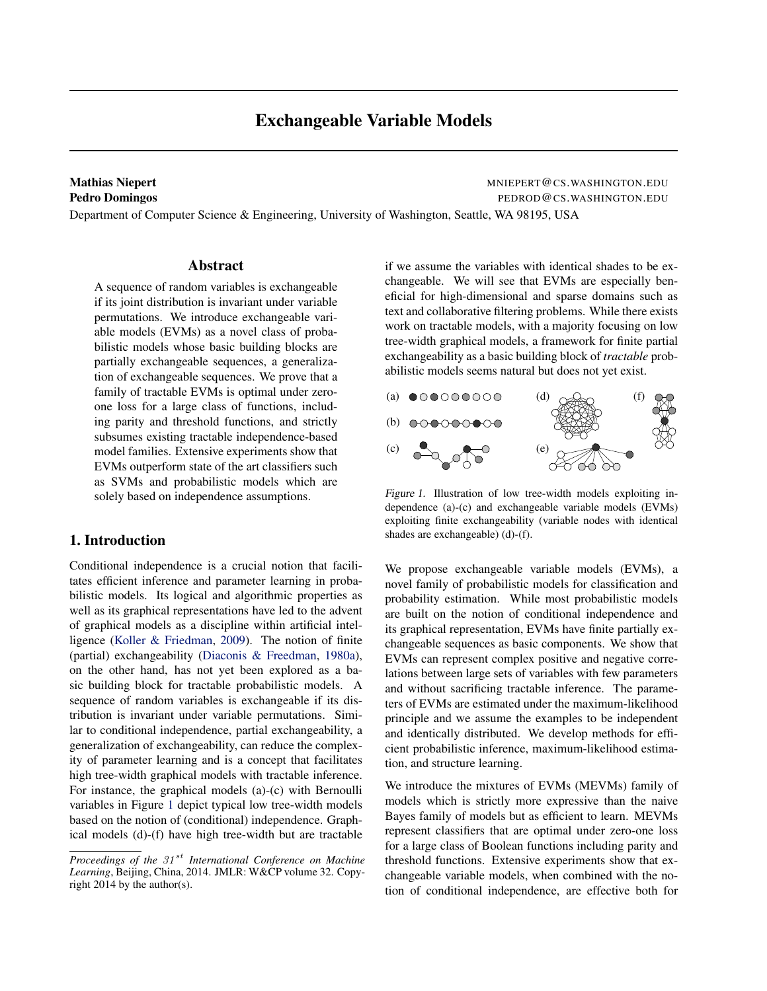# Exchangeable Variable Models

### <span id="page-0-0"></span>Mathias Niepert **Mathias Niepert** MNIEPERT @CS.WASHINGTON.EDU Pedro Domingos **Pedro Domingos PEDROD & CS. WASHINGTON.EDU**

Department of Computer Science & Engineering, University of Washington, Seattle, WA 98195, USA

### Abstract

A sequence of random variables is exchangeable if its joint distribution is invariant under variable permutations. We introduce exchangeable variable models (EVMs) as a novel class of probabilistic models whose basic building blocks are partially exchangeable sequences, a generalization of exchangeable sequences. We prove that a family of tractable EVMs is optimal under zeroone loss for a large class of functions, including parity and threshold functions, and strictly subsumes existing tractable independence-based model families. Extensive experiments show that EVMs outperform state of the art classifiers such as SVMs and probabilistic models which are solely based on independence assumptions.

## 1. Introduction

Conditional independence is a crucial notion that facilitates efficient inference and parameter learning in probabilistic models. Its logical and algorithmic properties as well as its graphical representations have led to the advent of graphical models as a discipline within artificial intelligence [\(Koller & Friedman,](#page-8-0) [2009\)](#page-8-0). The notion of finite (partial) exchangeability [\(Diaconis & Freedman,](#page-8-0) [1980a\)](#page-8-0), on the other hand, has not yet been explored as a basic building block for tractable probabilistic models. A sequence of random variables is exchangeable if its distribution is invariant under variable permutations. Similar to conditional independence, partial exchangeability, a generalization of exchangeability, can reduce the complexity of parameter learning and is a concept that facilitates high tree-width graphical models with tractable inference. For instance, the graphical models (a)-(c) with Bernoulli variables in Figure 1 depict typical low tree-width models based on the notion of (conditional) independence. Graphical models (d)-(f) have high tree-width but are tractable if we assume the variables with identical shades to be exchangeable. We will see that EVMs are especially beneficial for high-dimensional and sparse domains such as text and collaborative filtering problems. While there exists work on tractable models, with a majority focusing on low tree-width graphical models, a framework for finite partial exchangeability as a basic building block of *tractable* probabilistic models seems natural but does not yet exist.



Figure 1. Illustration of low tree-width models exploiting independence (a)-(c) and exchangeable variable models (EVMs) exploiting finite exchangeability (variable nodes with identical shades are exchangeable) (d)-(f).

We propose exchangeable variable models (EVMs), a novel family of probabilistic models for classification and probability estimation. While most probabilistic models are built on the notion of conditional independence and its graphical representation, EVMs have finite partially exchangeable sequences as basic components. We show that EVMs can represent complex positive and negative correlations between large sets of variables with few parameters and without sacrificing tractable inference. The parameters of EVMs are estimated under the maximum-likelihood principle and we assume the examples to be independent and identically distributed. We develop methods for efficient probabilistic inference, maximum-likelihood estimation, and structure learning.

We introduce the mixtures of EVMs (MEVMs) family of models which is strictly more expressive than the naive Bayes family of models but as efficient to learn. MEVMs represent classifiers that are optimal under zero-one loss for a large class of Boolean functions including parity and threshold functions. Extensive experiments show that exchangeable variable models, when combined with the notion of conditional independence, are effective both for

*Proceedings of the 31<sup>st</sup> International Conference on Machine Learning*, Beijing, China, 2014. JMLR: W&CP volume 32. Copyright 2014 by the author(s).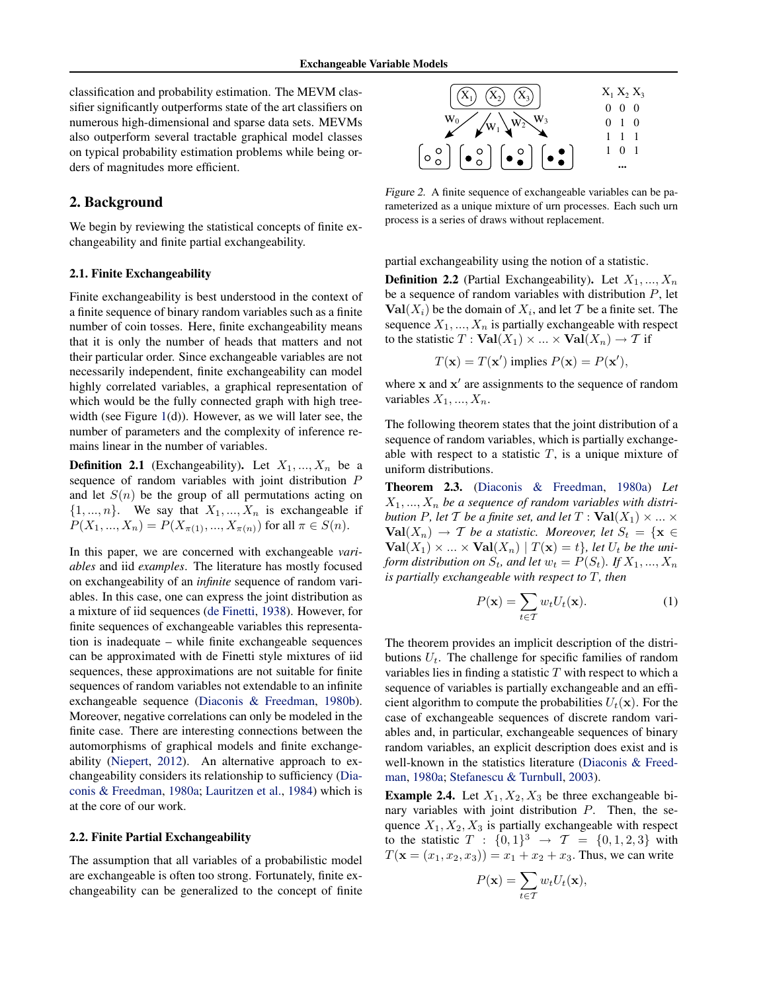<span id="page-1-0"></span>classification and probability estimation. The MEVM classifier significantly outperforms state of the art classifiers on numerous high-dimensional and sparse data sets. MEVMs also outperform several tractable graphical model classes on typical probability estimation problems while being orders of magnitudes more efficient.

### 2. Background

We begin by reviewing the statistical concepts of finite exchangeability and finite partial exchangeability.

#### 2.1. Finite Exchangeability

Finite exchangeability is best understood in the context of a finite sequence of binary random variables such as a finite number of coin tosses. Here, finite exchangeability means that it is only the number of heads that matters and not their particular order. Since exchangeable variables are not necessarily independent, finite exchangeability can model highly correlated variables, a graphical representation of which would be the fully connected graph with high tree-width (see Figure [1\(](#page-0-0)d)). However, as we will later see, the number of parameters and the complexity of inference remains linear in the number of variables.

**Definition 2.1** (Exchangeability). Let  $X_1, ..., X_n$  be a sequence of random variables with joint distribution P and let  $S(n)$  be the group of all permutations acting on  $\{1, ..., n\}$ . We say that  $X_1, ..., X_n$  is exchangeable if  $P(X_1, ..., X_n) = P(X_{\pi(1)}, ..., X_{\pi(n)})$  for all  $\pi \in S(n)$ .

In this paper, we are concerned with exchangeable *variables* and iid *examples*. The literature has mostly focused on exchangeability of an *infinite* sequence of random variables. In this case, one can express the joint distribution as a mixture of iid sequences [\(de Finetti,](#page-8-0) [1938\)](#page-8-0). However, for finite sequences of exchangeable variables this representation is inadequate – while finite exchangeable sequences can be approximated with de Finetti style mixtures of iid sequences, these approximations are not suitable for finite sequences of random variables not extendable to an infinite exchangeable sequence [\(Diaconis & Freedman,](#page-8-0) [1980b\)](#page-8-0). Moreover, negative correlations can only be modeled in the finite case. There are interesting connections between the automorphisms of graphical models and finite exchangeability [\(Niepert,](#page-8-0) [2012\)](#page-8-0). An alternative approach to exchangeability considers its relationship to sufficiency [\(Dia](#page-8-0)[conis & Freedman,](#page-8-0) [1980a;](#page-8-0) [Lauritzen et al.,](#page-8-0) [1984\)](#page-8-0) which is at the core of our work.

#### 2.2. Finite Partial Exchangeability

The assumption that all variables of a probabilistic model are exchangeable is often too strong. Fortunately, finite exchangeability can be generalized to the concept of finite



Figure 2. A finite sequence of exchangeable variables can be parameterized as a unique mixture of urn processes. Each such urn process is a series of draws without replacement.

partial exchangeability using the notion of a statistic.

**Definition 2.2** (Partial Exchangeability). Let  $X_1, ..., X_n$ be a sequence of random variables with distribution  $P$ , let  $\text{Val}(X_i)$  be the domain of  $X_i$ , and let T be a finite set. The sequence  $X_1, ..., X_n$  is partially exchangeable with respect to the statistic  $T : \text{Val}(X_1) \times ... \times \text{Val}(X_n) \to T$  if

$$
T(\mathbf{x}) = T(\mathbf{x}') \text{ implies } P(\mathbf{x}) = P(\mathbf{x}'),
$$

where  $x$  and  $x'$  are assignments to the sequence of random variables  $X_1, ..., X_n$ .

The following theorem states that the joint distribution of a sequence of random variables, which is partially exchangeable with respect to a statistic  $T$ , is a unique mixture of uniform distributions.

Theorem 2.3. [\(Diaconis & Freedman,](#page-8-0) [1980a\)](#page-8-0) *Let*  $X_1, \ldots, X_n$  be a sequence of random variables with distri*bution* P, let T *be a finite set, and let*  $T : \text{Val}(X_1) \times ... \times$  $Val(X_n) \rightarrow T$  *be a statistic. Moreover, let*  $S_t = \{x \in$  $Val(X_1) \times ... \times Val(X_n) | T(\mathbf{x}) = t$ , let  $U_t$  be the uni*form distribution on*  $S_t$ *, and let*  $w_t = P(S_t)$ *. If*  $X_1, ..., X_n$ *is partially exchangeable with respect to* T*, then*

$$
P(\mathbf{x}) = \sum_{t \in \mathcal{T}} w_t U_t(\mathbf{x}).
$$
 (1)

The theorem provides an implicit description of the distributions  $U_t$ . The challenge for specific families of random variables lies in finding a statistic  $T$  with respect to which a sequence of variables is partially exchangeable and an efficient algorithm to compute the probabilities  $U_t(\mathbf{x})$ . For the case of exchangeable sequences of discrete random variables and, in particular, exchangeable sequences of binary random variables, an explicit description does exist and is well-known in the statistics literature [\(Diaconis & Freed](#page-8-0)[man,](#page-8-0) [1980a;](#page-8-0) [Stefanescu & Turnbull,](#page-8-0) [2003\)](#page-8-0).

**Example 2.4.** Let  $X_1, X_2, X_3$  be three exchangeable binary variables with joint distribution P. Then, the sequence  $X_1, X_2, X_3$  is partially exchangeable with respect to the statistic  $T : \{0,1\}^3 \to T = \{0,1,2,3\}$  with  $T(\mathbf{x} = (x_1, x_2, x_3)) = x_1 + x_2 + x_3$ . Thus, we can write

$$
P(\mathbf{x}) = \sum_{t \in \mathcal{T}} w_t U_t(\mathbf{x}),
$$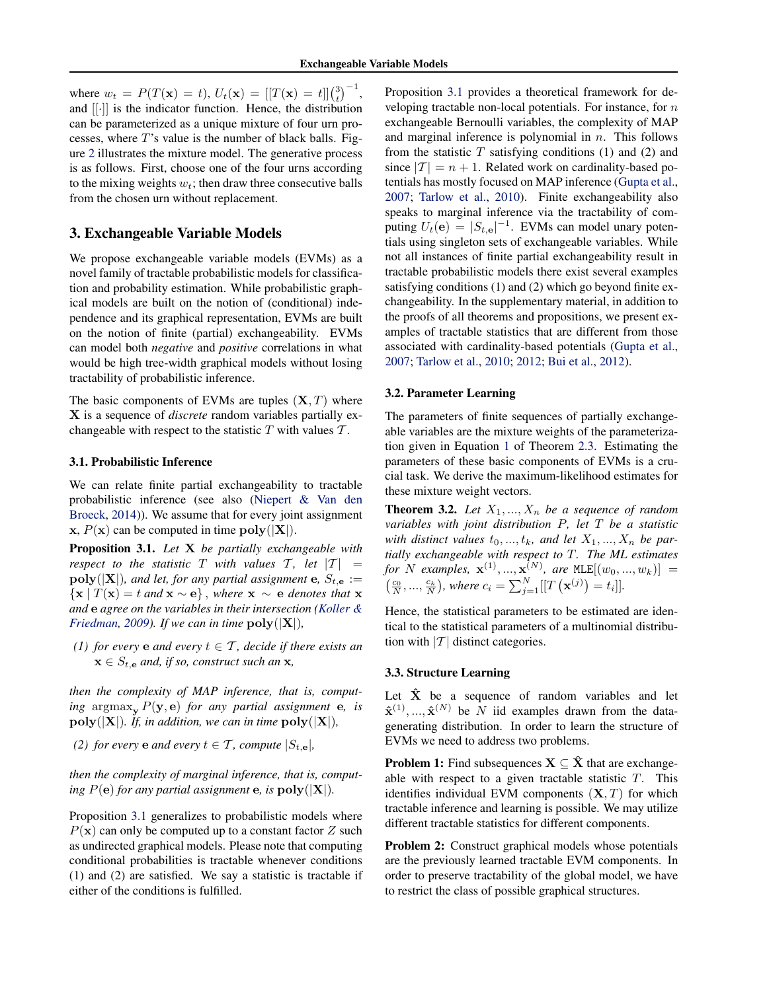<span id="page-2-0"></span>where  $w_t = P(T(\mathbf{x}) = t), U_t(\mathbf{x}) = [[T(\mathbf{x}) = t]]\binom{3}{t}^{-1},$ and [[·]] is the indicator function. Hence, the distribution can be parameterized as a unique mixture of four urn processes, where  $T$ 's value is the number of black balls. Figure [2](#page-1-0) illustrates the mixture model. The generative process is as follows. First, choose one of the four urns according to the mixing weights  $w_t$ ; then draw three consecutive balls from the chosen urn without replacement.

## 3. Exchangeable Variable Models

We propose exchangeable variable models (EVMs) as a novel family of tractable probabilistic models for classification and probability estimation. While probabilistic graphical models are built on the notion of (conditional) independence and its graphical representation, EVMs are built on the notion of finite (partial) exchangeability. EVMs can model both *negative* and *positive* correlations in what would be high tree-width graphical models without losing tractability of probabilistic inference.

The basic components of EVMs are tuples  $(X, T)$  where X is a sequence of *discrete* random variables partially exchangeable with respect to the statistic  $T$  with values  $T$ .

### 3.1. Probabilistic Inference

We can relate finite partial exchangeability to tractable probabilistic inference (see also [\(Niepert & Van den](#page-8-0) [Broeck,](#page-8-0) [2014\)](#page-8-0)). We assume that for every joint assignment  $x, P(x)$  can be computed in time  $poly(|X|)$ .

Proposition 3.1. *Let* X *be partially exchangeable with respect to the statistic* T *with values* T, let  $|T|$  =  $\text{poly}(|\mathbf{X}|)$ *, and let, for any partial assignment* e*,*  $S_{t,\mathbf{e}} :=$  $\{x \mid T(x) = t \text{ and } x \sim e\}, \text{ where } x \sim e \text{ denotes that } x$ *and* e *agree on the variables in their intersection [\(Koller &](#page-8-0) [Friedman,](#page-8-0) [2009\)](#page-8-0). If we can in time*  $\text{poly}(|X|)$ *,* 

*(1) for every* **e** *and every*  $t \in \mathcal{T}$ *, decide if there exists an*  $\mathbf{x} \in S_{t,\mathbf{e}}$  *and, if so, construct such an* **x**,

*then the complexity of MAP inference, that is, computing* argmax<sub>y</sub>  $P(y, e)$  *for any partial assignment* e*, is*  $poly(|X|)$ *. If, in addition, we can in time*  $poly(|X|)$ *,* 

*(2) for every* **e** *and every*  $t \in \mathcal{T}$ *, compute*  $|S_{t,\mathbf{e}}|$ *,* 

*then the complexity of marginal inference, that is, computing*  $P(e)$  *for any partial assignment* **e***, is*  $\text{poly}(|X|)$ *.* 

Proposition 3.1 generalizes to probabilistic models where  $P(x)$  can only be computed up to a constant factor Z such as undirected graphical models. Please note that computing conditional probabilities is tractable whenever conditions (1) and (2) are satisfied. We say a statistic is tractable if either of the conditions is fulfilled.

Proposition 3.1 provides a theoretical framework for developing tractable non-local potentials. For instance, for  $n$ exchangeable Bernoulli variables, the complexity of MAP and marginal inference is polynomial in  $n$ . This follows from the statistic  $T$  satisfying conditions (1) and (2) and since  $|T| = n + 1$ . Related work on cardinality-based potentials has mostly focused on MAP inference [\(Gupta et al.,](#page-8-0) [2007;](#page-8-0) [Tarlow et al.,](#page-8-0) [2010\)](#page-8-0). Finite exchangeability also speaks to marginal inference via the tractability of computing  $U_t(\mathbf{e}) = |S_{t,\mathbf{e}}|^{-1}$ . EVMs can model unary potentials using singleton sets of exchangeable variables. While not all instances of finite partial exchangeability result in tractable probabilistic models there exist several examples satisfying conditions (1) and (2) which go beyond finite exchangeability. In the supplementary material, in addition to the proofs of all theorems and propositions, we present examples of tractable statistics that are different from those associated with cardinality-based potentials [\(Gupta et al.,](#page-8-0) [2007;](#page-8-0) [Tarlow et al.,](#page-8-0) [2010;](#page-8-0) [2012;](#page-8-0) [Bui et al.,](#page-8-0) [2012\)](#page-8-0).

### 3.2. Parameter Learning

The parameters of finite sequences of partially exchangeable variables are the mixture weights of the parameterization given in Equation [1](#page-1-0) of Theorem [2.3.](#page-1-0) Estimating the parameters of these basic components of EVMs is a crucial task. We derive the maximum-likelihood estimates for these mixture weight vectors.

**Theorem 3.2.** Let  $X_1, ..., X_n$  be a sequence of random *variables with joint distribution* P*, let* T *be a statistic* with distinct values  $t_0, \ldots, t_k$ , and let  $X_1, \ldots, X_n$  be par*tially exchangeable with respect to* T*. The ML estimates for* N *examples*,  $\mathbf{x}^{(1)},...,\mathbf{x}^{(N)}$ , are  $MLE[(w_0,...,w_k)] =$  $\left(\frac{c_0}{N}, ..., \frac{c_k}{N}\right)$ , where  $c_i = \sum_{j=1}^{N} [[T(\mathbf{x}^{(j)}) = t_i]].$ 

Hence, the statistical parameters to be estimated are identical to the statistical parameters of a multinomial distribution with  $|T|$  distinct categories.

#### 3.3. Structure Learning

Let  $\hat{X}$  be a sequence of random variables and let  $\hat{\mathbf{x}}^{(1)},...,\hat{\mathbf{x}}^{(N)}$  be N iid examples drawn from the datagenerating distribution. In order to learn the structure of EVMs we need to address two problems.

**Problem 1:** Find subsequences  $X \subseteq \hat{X}$  that are exchangeable with respect to a given tractable statistic  $T$ . This identifies individual EVM components  $(X, T)$  for which tractable inference and learning is possible. We may utilize different tractable statistics for different components.

Problem 2: Construct graphical models whose potentials are the previously learned tractable EVM components. In order to preserve tractability of the global model, we have to restrict the class of possible graphical structures.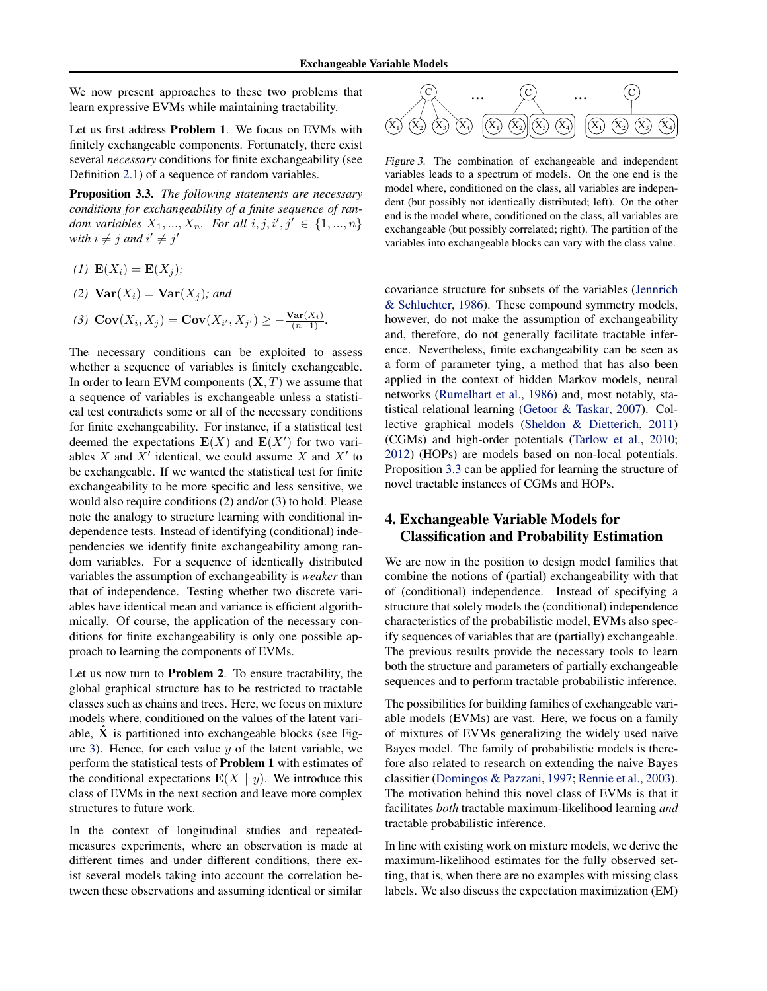<span id="page-3-0"></span>We now present approaches to these two problems that learn expressive EVMs while maintaining tractability.

Let us first address Problem 1. We focus on EVMs with finitely exchangeable components. Fortunately, there exist several *necessary* conditions for finite exchangeability (see Definition [2.1\)](#page-1-0) of a sequence of random variables.

Proposition 3.3. *The following statements are necessary conditions for exchangeability of a finite sequence of random variables*  $X_1, ..., X_n$ . For all  $i, j, i', j' \in \{1, ..., n\}$ *with*  $i \neq j$  *and*  $i' \neq j'$ 

- *(1)*  $E(X_i) = E(X_i);$
- (2)  $\text{Var}(X_i) = \text{Var}(X_i)$ *; and*
- (3)  $Cov(X_i, X_j) = Cov(X_{i'}, X_{j'}) \ge -\frac{Var(X_i)}{(n-1)}$ .

The necessary conditions can be exploited to assess whether a sequence of variables is finitely exchangeable. In order to learn EVM components  $(X, T)$  we assume that a sequence of variables is exchangeable unless a statistical test contradicts some or all of the necessary conditions for finite exchangeability. For instance, if a statistical test deemed the expectations  $E(X)$  and  $E(X')$  for two variables X and  $X'$  identical, we could assume X and  $X'$  to be exchangeable. If we wanted the statistical test for finite exchangeability to be more specific and less sensitive, we would also require conditions (2) and/or (3) to hold. Please note the analogy to structure learning with conditional independence tests. Instead of identifying (conditional) independencies we identify finite exchangeability among random variables. For a sequence of identically distributed variables the assumption of exchangeability is *weaker* than that of independence. Testing whether two discrete variables have identical mean and variance is efficient algorithmically. Of course, the application of the necessary conditions for finite exchangeability is only one possible approach to learning the components of EVMs.

Let us now turn to Problem 2. To ensure tractability, the global graphical structure has to be restricted to tractable classes such as chains and trees. Here, we focus on mixture models where, conditioned on the values of the latent variable,  $\hat{X}$  is partitioned into exchangeable blocks (see Figure 3). Hence, for each value  $y$  of the latent variable, we perform the statistical tests of Problem 1 with estimates of the conditional expectations  $E(X \mid y)$ . We introduce this class of EVMs in the next section and leave more complex structures to future work.

In the context of longitudinal studies and repeatedmeasures experiments, where an observation is made at different times and under different conditions, there exist several models taking into account the correlation between these observations and assuming identical or similar



Figure 3. The combination of exchangeable and independent variables leads to a spectrum of models. On the one end is the model where, conditioned on the class, all variables are independent (but possibly not identically distributed; left). On the other end is the model where, conditioned on the class, all variables are exchangeable (but possibly correlated; right). The partition of the variables into exchangeable blocks can vary with the class value.

covariance structure for subsets of the variables [\(Jennrich](#page-8-0) [& Schluchter,](#page-8-0) [1986\)](#page-8-0). These compound symmetry models, however, do not make the assumption of exchangeability and, therefore, do not generally facilitate tractable inference. Nevertheless, finite exchangeability can be seen as a form of parameter tying, a method that has also been applied in the context of hidden Markov models, neural networks [\(Rumelhart et al.,](#page-8-0) [1986\)](#page-8-0) and, most notably, statistical relational learning [\(Getoor & Taskar,](#page-8-0) [2007\)](#page-8-0). Collective graphical models [\(Sheldon & Dietterich,](#page-8-0) [2011\)](#page-8-0) (CGMs) and high-order potentials [\(Tarlow et al.,](#page-8-0) [2010;](#page-8-0) [2012\)](#page-8-0) (HOPs) are models based on non-local potentials. Proposition 3.3 can be applied for learning the structure of novel tractable instances of CGMs and HOPs.

# 4. Exchangeable Variable Models for Classification and Probability Estimation

We are now in the position to design model families that combine the notions of (partial) exchangeability with that of (conditional) independence. Instead of specifying a structure that solely models the (conditional) independence characteristics of the probabilistic model, EVMs also specify sequences of variables that are (partially) exchangeable. The previous results provide the necessary tools to learn both the structure and parameters of partially exchangeable sequences and to perform tractable probabilistic inference.

The possibilities for building families of exchangeable variable models (EVMs) are vast. Here, we focus on a family of mixtures of EVMs generalizing the widely used naive Bayes model. The family of probabilistic models is therefore also related to research on extending the naive Bayes classifier [\(Domingos & Pazzani,](#page-8-0) [1997;](#page-8-0) [Rennie et al.,](#page-8-0) [2003\)](#page-8-0). The motivation behind this novel class of EVMs is that it facilitates *both* tractable maximum-likelihood learning *and* tractable probabilistic inference.

In line with existing work on mixture models, we derive the maximum-likelihood estimates for the fully observed setting, that is, when there are no examples with missing class labels. We also discuss the expectation maximization (EM)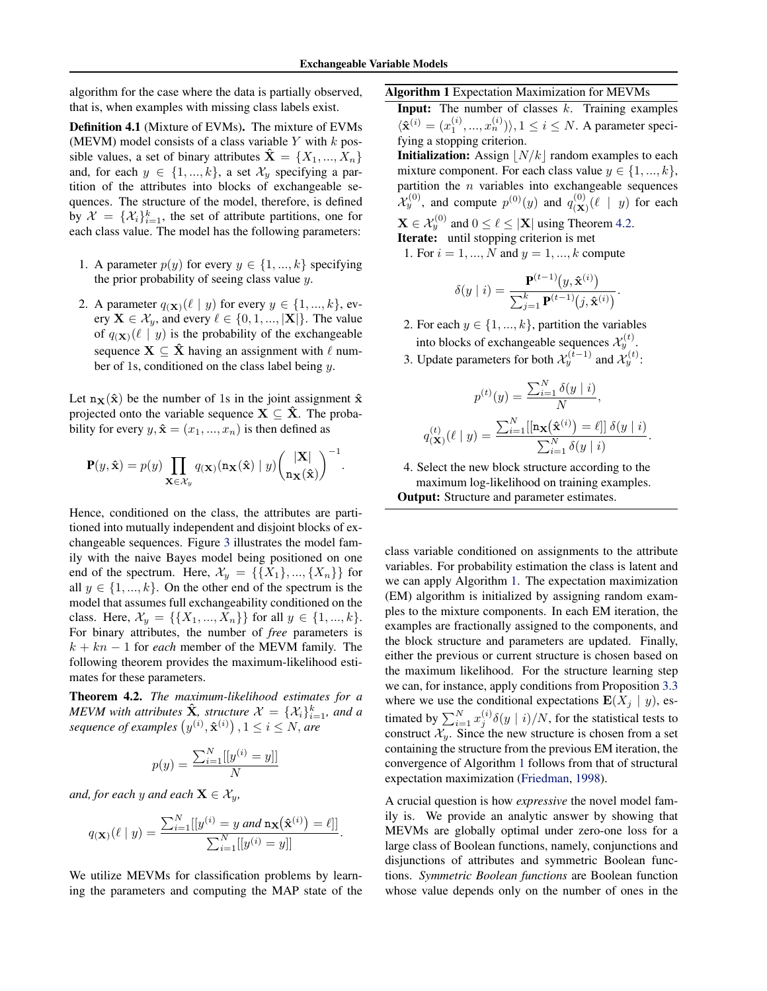<span id="page-4-0"></span>algorithm for the case where the data is partially observed, that is, when examples with missing class labels exist.

Definition 4.1 (Mixture of EVMs). The mixture of EVMs (MEVM) model consists of a class variable Y with  $k$  possible values, a set of binary attributes  $\mathbf{\hat{X}} = \{X_1, ..., X_n\}$ and, for each  $y \in \{1, ..., k\}$ , a set  $\mathcal{X}_y$  specifying a partition of the attributes into blocks of exchangeable sequences. The structure of the model, therefore, is defined by  $\mathcal{X} = \{X_i\}_{i=1}^k$ , the set of attribute partitions, one for each class value. The model has the following parameters:

- 1. A parameter  $p(y)$  for every  $y \in \{1, ..., k\}$  specifying the prior probability of seeing class value y.
- 2. A parameter  $q(\mathbf{x})$ ( $\ell \mid y$ ) for every  $y \in \{1, ..., k\}$ , every  $\mathbf{X} \in \mathcal{X}_y$ , and every  $\ell \in \{0, 1, ..., |\mathbf{X}|\}$ . The value of  $q(\mathbf{x})$ ( $\ell \mid y$ ) is the probability of the exchangeable sequence  $X \subseteq \hat{X}$  having an assignment with  $\ell$  number of 1s, conditioned on the class label being  $y$ .

Let  $n_X(\hat{x})$  be the number of 1s in the joint assignment  $\hat{x}$ projected onto the variable sequence  $X \subseteq \hat{X}$ . The probability for every  $y, \hat{x} = (x_1, ..., x_n)$  is then defined as

$$
\mathbf{P}(y,\hat{\mathbf{x}}) = p(y) \prod_{\mathbf{X} \in \mathcal{X}_y} q(\mathbf{x}) (\mathbf{n}_{\mathbf{X}}(\hat{\mathbf{x}}) \mid y) \binom{|\mathbf{X}|}{\mathbf{n}_{\mathbf{X}}(\hat{\mathbf{x}})}^{-1}.
$$

Hence, conditioned on the class, the attributes are partitioned into mutually independent and disjoint blocks of exchangeable sequences. Figure [3](#page-3-0) illustrates the model family with the naive Bayes model being positioned on one end of the spectrum. Here,  $\mathcal{X}_y = \{\{X_1\}, ..., \{X_n\}\}\$ for all  $y \in \{1, ..., k\}$ . On the other end of the spectrum is the model that assumes full exchangeability conditioned on the class. Here,  $\mathcal{X}_y = \{\{X_1, ..., X_n\}\}\$ for all  $y \in \{1, ..., k\}.$ For binary attributes, the number of *free* parameters is  $k + kn - 1$  for *each* member of the MEVM family. The following theorem provides the maximum-likelihood estimates for these parameters.

Theorem 4.2. *The maximum-likelihood estimates for a MEVM with attributes*  $\hat{\mathbf{X}}$ *, structure*  $\mathcal{X} = {\mathcal{X}_i}_{i=1}^k$ *, and a* sequence of examples  $(y^{(i)}, \mathbf{\hat{x}}^{(i)})$  ,  $1 \le i \le N$ , are

$$
p(y) = \frac{\sum_{i=1}^{N} [[y^{(i)} = y]]}{N}
$$

*and, for each* y *and each*  $X \in \mathcal{X}_y$ ,

$$
q(\mathbf{x})(\ell \mid y) = \frac{\sum_{i=1}^{N}[[y^{(i)} = y \text{ and } \mathbf{n}_{\mathbf{X}}(\hat{\mathbf{x}}^{(i)}) = \ell]]}{\sum_{i=1}^{N}[[y^{(i)} = y]]}.
$$

We utilize MEVMs for classification problems by learning the parameters and computing the MAP state of the

#### Algorithm 1 Expectation Maximization for MEVMs

**Input:** The number of classes  $k$ . Training examples  $\langle \hat{\mathbf{x}}^{(i)} = (x_1^{(i)}, ..., x_n^{(i)}) \rangle, 1 \le i \le N$ . A parameter specifying a stopping criterion. **Initialization:** Assign  $\vert N/k \vert$  random examples to each mixture component. For each class value  $y \in \{1, ..., k\},\$ partition the  $n$  variables into exchangeable sequences  $\mathcal{X}_y^{(0)}$ , and compute  $p^{(0)}(y)$  and  $q_{(\mathbf{X})}^{(0)}$  $\mathcal{L}^{(0)}(\ell \mid y)$  for each  $\mathbf{X} \in \mathcal{X}_y^{(0)}$  and  $0 \le \ell \le |\mathbf{X}|$  using Theorem 4.2. Iterate: until stopping criterion is met

1. For  $i = 1, ..., N$  and  $y = 1, ..., k$  compute

$$
\delta(y \mid i) = \frac{\mathbf{P}^{(t-1)}(y, \hat{\mathbf{x}}^{(i)})}{\sum_{j=1}^k \mathbf{P}^{(t-1)}(j, \hat{\mathbf{x}}^{(i)})}.
$$

- 2. For each  $y \in \{1, ..., k\}$ , partition the variables into blocks of exchangeable sequences  $\mathcal{X}_y^{(t)}$ .
- 3. Update parameters for both  $\mathcal{X}_y^{(t-1)}$  and  $\mathcal{X}_y^{(t)}$ :

$$
p^{(t)}(y) = \frac{\sum_{i=1}^{N} \delta(y \mid i)}{N},
$$

$$
q(\mathbf{x}) (\ell \mid y) = \frac{\sum_{i=1}^{N} [[\mathbf{nx}(\hat{\mathbf{x}}^{(i)}) = \ell]] \delta(y \mid i)}{\sum_{i=1}^{N} \delta(y \mid i)}.
$$

4. Select the new block structure according to the maximum log-likelihood on training examples. **Output:** Structure and parameter estimates.

class variable conditioned on assignments to the attribute variables. For probability estimation the class is latent and we can apply Algorithm 1. The expectation maximization (EM) algorithm is initialized by assigning random examples to the mixture components. In each EM iteration, the examples are fractionally assigned to the components, and the block structure and parameters are updated. Finally, either the previous or current structure is chosen based on the maximum likelihood. For the structure learning step we can, for instance, apply conditions from Proposition [3.3](#page-3-0) where we use the conditional expectations  $E(X_j | y)$ , estimated by  $\sum_{i=1}^{N} x_j^{(i)} \delta(y \mid i) / N$ , for the statistical tests to construct  $\mathcal{X}_y$ . Since the new structure is chosen from a set containing the structure from the previous EM iteration, the convergence of Algorithm 1 follows from that of structural expectation maximization [\(Friedman,](#page-8-0) [1998\)](#page-8-0).

A crucial question is how *expressive* the novel model family is. We provide an analytic answer by showing that MEVMs are globally optimal under zero-one loss for a large class of Boolean functions, namely, conjunctions and disjunctions of attributes and symmetric Boolean functions. *Symmetric Boolean functions* are Boolean function whose value depends only on the number of ones in the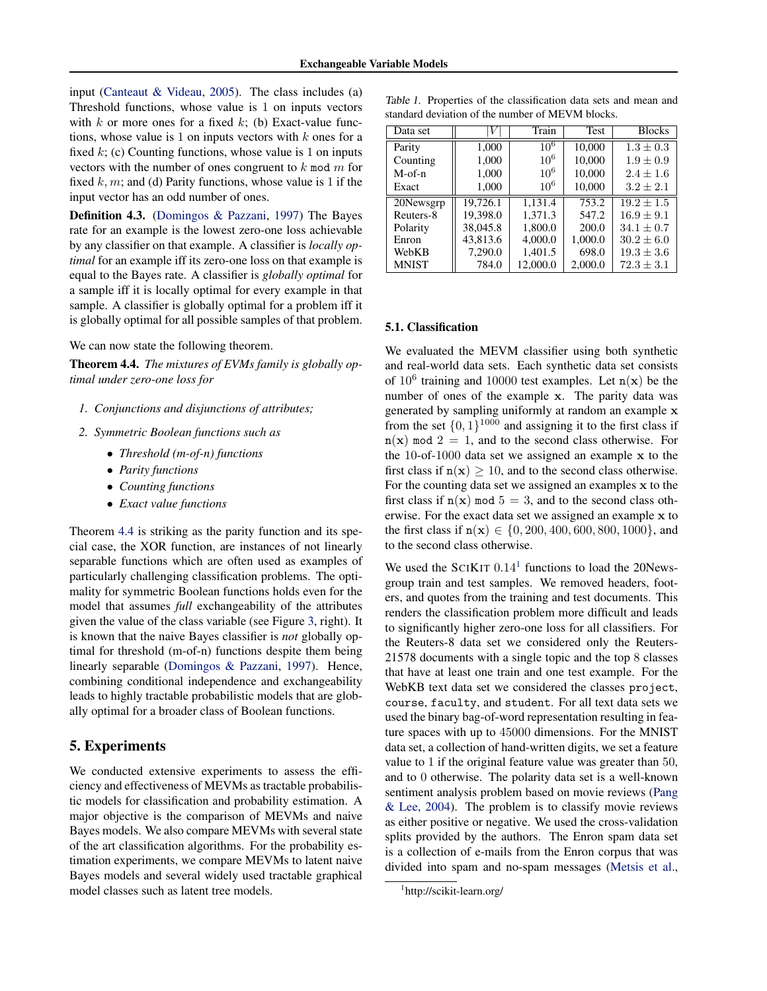<span id="page-5-0"></span>input [\(Canteaut & Videau,](#page-8-0) [2005\)](#page-8-0). The class includes (a) Threshold functions, whose value is 1 on inputs vectors with  $k$  or more ones for a fixed  $k$ ; (b) Exact-value functions, whose value is 1 on inputs vectors with  $k$  ones for a fixed  $k$ ; (c) Counting functions, whose value is 1 on inputs vectors with the number of ones congruent to  $k \mod m$  for fixed k, m; and (d) Parity functions, whose value is 1 if the input vector has an odd number of ones.

Definition 4.3. [\(Domingos & Pazzani,](#page-8-0) [1997\)](#page-8-0) The Bayes rate for an example is the lowest zero-one loss achievable by any classifier on that example. A classifier is *locally optimal* for an example iff its zero-one loss on that example is equal to the Bayes rate. A classifier is *globally optimal* for a sample iff it is locally optimal for every example in that sample. A classifier is globally optimal for a problem iff it is globally optimal for all possible samples of that problem.

We can now state the following theorem.

Theorem 4.4. *The mixtures of EVMs family is globally optimal under zero-one loss for*

- *1. Conjunctions and disjunctions of attributes;*
- *2. Symmetric Boolean functions such as*
	- *Threshold (m-of-n) functions*
	- *Parity functions*
	- *Counting functions*
	- *Exact value functions*

Theorem 4.4 is striking as the parity function and its special case, the XOR function, are instances of not linearly separable functions which are often used as examples of particularly challenging classification problems. The optimality for symmetric Boolean functions holds even for the model that assumes *full* exchangeability of the attributes given the value of the class variable (see Figure [3,](#page-3-0) right). It is known that the naive Bayes classifier is *not* globally optimal for threshold (m-of-n) functions despite them being linearly separable [\(Domingos & Pazzani,](#page-8-0) [1997\)](#page-8-0). Hence, combining conditional independence and exchangeability leads to highly tractable probabilistic models that are globally optimal for a broader class of Boolean functions.

## 5. Experiments

We conducted extensive experiments to assess the efficiency and effectiveness of MEVMs as tractable probabilistic models for classification and probability estimation. A major objective is the comparison of MEVMs and naive Bayes models. We also compare MEVMs with several state of the art classification algorithms. For the probability estimation experiments, we compare MEVMs to latent naive Bayes models and several widely used tractable graphical model classes such as latent tree models.

Table 1. Properties of the classification data sets and mean and standard deviation of the number of MEVM blocks.

| Data set     |          | Train    | Test    | <b>Blocks</b>  |
|--------------|----------|----------|---------|----------------|
| Parity       | 1,000    | $10^{6}$ | 10,000  | $1.3 \pm 0.3$  |
| Counting     | 1,000    | $10^{6}$ | 10,000  | $1.9 \pm 0.9$  |
| $M$ -of-n    | 1,000    | $10^{6}$ | 10,000  | $2.4 \pm 1.6$  |
| Exact        | 1,000    | $10^{6}$ | 10,000  | $3.2 \pm 2.1$  |
| 20Newsgrp    | 19.726.1 | 1.131.4  | 753.2   | $19.2 \pm 1.5$ |
| Reuters-8    | 19,398.0 | 1,371.3  | 547.2   | $16.9 \pm 9.1$ |
| Polarity     | 38,045.8 | 1,800.0  | 200.0   | $34.1 \pm 0.7$ |
| Enron        | 43,813.6 | 4,000.0  | 1,000.0 | $30.2 \pm 6.0$ |
| WebKB        | 7,290.0  | 1,401.5  | 698.0   | $19.3 \pm 3.6$ |
| <b>MNIST</b> | 784.0    | 12,000.0 | 2,000.0 | $72.3 \pm 3.1$ |

### 5.1. Classification

We evaluated the MEVM classifier using both synthetic and real-world data sets. Each synthetic data set consists of  $10^6$  training and 10000 test examples. Let  $n(x)$  be the number of ones of the example x. The parity data was generated by sampling uniformly at random an example x from the set  $\{0, 1\}^{1000}$  and assigning it to the first class if  $n(x)$  mod  $2 = 1$ , and to the second class otherwise. For the 10-of-1000 data set we assigned an example x to the first class if  $n(x) \ge 10$ , and to the second class otherwise. For the counting data set we assigned an examples x to the first class if  $n(x)$  mod  $5 = 3$ , and to the second class otherwise. For the exact data set we assigned an example x to the first class if  $n(x) \in \{0, 200, 400, 600, 800, 1000\}$ , and to the second class otherwise.

We used the SCIKIT  $0.14<sup>1</sup>$  functions to load the 20Newsgroup train and test samples. We removed headers, footers, and quotes from the training and test documents. This renders the classification problem more difficult and leads to significantly higher zero-one loss for all classifiers. For the Reuters-8 data set we considered only the Reuters-21578 documents with a single topic and the top 8 classes that have at least one train and one test example. For the WebKB text data set we considered the classes project, course, faculty, and student. For all text data sets we used the binary bag-of-word representation resulting in feature spaces with up to 45000 dimensions. For the MNIST data set, a collection of hand-written digits, we set a feature value to 1 if the original feature value was greater than 50, and to 0 otherwise. The polarity data set is a well-known sentiment analysis problem based on movie reviews [\(Pang](#page-8-0) [& Lee,](#page-8-0) [2004\)](#page-8-0). The problem is to classify movie reviews as either positive or negative. We used the cross-validation splits provided by the authors. The Enron spam data set is a collection of e-mails from the Enron corpus that was divided into spam and no-spam messages [\(Metsis et al.,](#page-8-0)

<sup>1</sup> http://scikit-learn.org/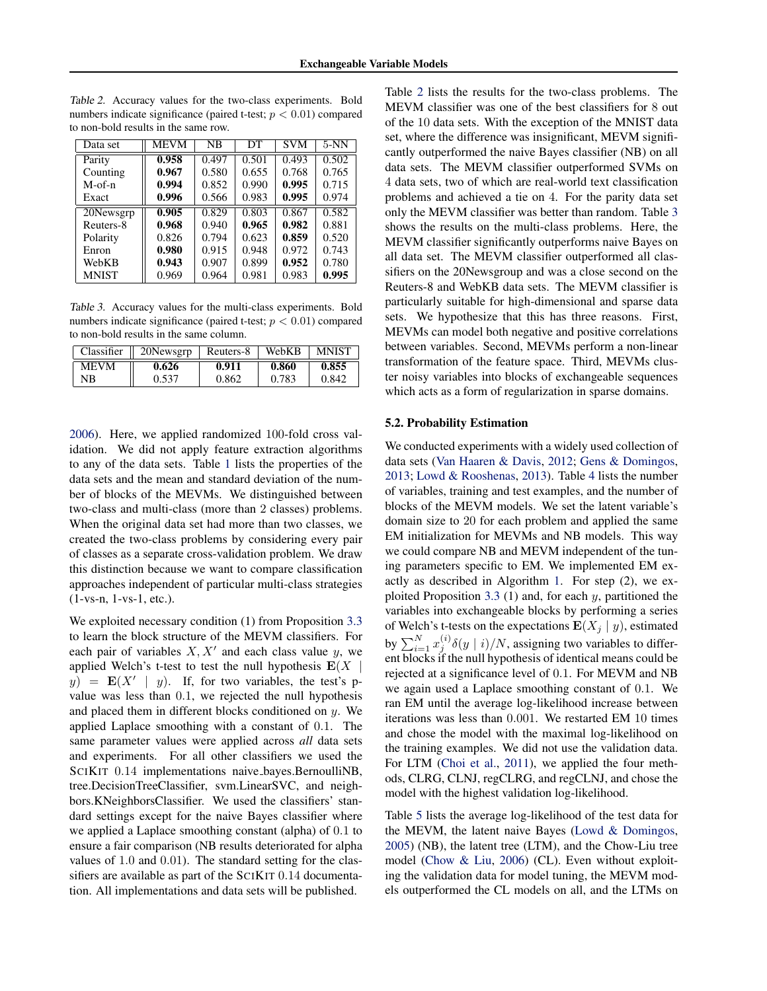Data set || MEVM | NB | DT | SVM | 5-NN Parity 0.958 0.497 0.501 0.493 0.502<br>Counting 0.967 0.580 0.655 0.768 0.765 Counting 0.967 0.580 0.655 0.768 0.765<br>M-of-n 0.994 0.852 0.990 0.995 0.715 M-of-n | 0.994 0.852 0.990 0.995 0.715 Exact || 0.996 | 0.566 | 0.983 | 0.995 | 0.974 20Newsgrp 0.905 0.829 0.803 0.867 0.582<br>Reuters-8 0.968 0.940 0.965 0.982 0.881 Reuters-8 **0.968** 0.940 **0.965 0.982** 0.881<br>Polarity 0.826 0.794 0.623 **0.859** 0.520 Polarity  $\parallel$  0.826  $\parallel$  0.794  $\parallel$  0.623  $\parallel$  **0.859**  $\parallel$  0.520 Enron  $\parallel$  0.980  $\parallel$  0.915  $\parallel$  0.948  $\parallel$  0.972  $\parallel$  0.743 WebKB 0.943 0.907 0.899 0.952 0.780<br>MNIST 0.969 0.964 0.981 0.983 0.995 MNIST

Table 2. Accuracy values for the two-class experiments. Bold numbers indicate significance (paired t-test;  $p < 0.01$ ) compared to non-bold results in the same row.

Table 3. Accuracy values for the multi-class experiments. Bold numbers indicate significance (paired t-test;  $p < 0.01$ ) compared to non-bold results in the same column.

| Classifier  | 20Newsgrp | Reuters-8 | WebKB | <b>MNIST</b> |
|-------------|-----------|-----------|-------|--------------|
| <b>MEVM</b> | 0.626     | 0.911     | 0.860 | 0.855        |
| NΒ          | 0.537     | 0.862     | 0.783 | 0.842        |

[2006\)](#page-8-0). Here, we applied randomized 100-fold cross validation. We did not apply feature extraction algorithms to any of the data sets. Table [1](#page-5-0) lists the properties of the data sets and the mean and standard deviation of the number of blocks of the MEVMs. We distinguished between two-class and multi-class (more than 2 classes) problems. When the original data set had more than two classes, we created the two-class problems by considering every pair of classes as a separate cross-validation problem. We draw this distinction because we want to compare classification approaches independent of particular multi-class strategies (1-vs-n, 1-vs-1, etc.).

We exploited necessary condition (1) from Proposition [3.3](#page-3-0) to learn the block structure of the MEVM classifiers. For each pair of variables  $X, X'$  and each class value y, we applied Welch's t-test to test the null hypothesis  $E(X | Y)$  $y$ ) =  $\mathbf{E}(X' | y)$ . If, for two variables, the test's pvalue was less than 0.1, we rejected the null hypothesis and placed them in different blocks conditioned on  $y$ . We applied Laplace smoothing with a constant of 0.1. The same parameter values were applied across *all* data sets and experiments. For all other classifiers we used the SCIKIT 0.14 implementations naive bayes.BernoulliNB, tree.DecisionTreeClassifier, svm.LinearSVC, and neighbors.KNeighborsClassifier. We used the classifiers' standard settings except for the naive Bayes classifier where we applied a Laplace smoothing constant (alpha) of 0.1 to ensure a fair comparison (NB results deteriorated for alpha values of 1.0 and 0.01). The standard setting for the classifiers are available as part of the SCIKIT 0.14 documentation. All implementations and data sets will be published.

Table 2 lists the results for the two-class problems. The MEVM classifier was one of the best classifiers for 8 out of the 10 data sets. With the exception of the MNIST data set, where the difference was insignificant, MEVM significantly outperformed the naive Bayes classifier (NB) on all data sets. The MEVM classifier outperformed SVMs on 4 data sets, two of which are real-world text classification problems and achieved a tie on 4. For the parity data set only the MEVM classifier was better than random. Table 3 shows the results on the multi-class problems. Here, the MEVM classifier significantly outperforms naive Bayes on all data set. The MEVM classifier outperformed all classifiers on the 20Newsgroup and was a close second on the Reuters-8 and WebKB data sets. The MEVM classifier is particularly suitable for high-dimensional and sparse data sets. We hypothesize that this has three reasons. First, MEVMs can model both negative and positive correlations between variables. Second, MEVMs perform a non-linear transformation of the feature space. Third, MEVMs cluster noisy variables into blocks of exchangeable sequences which acts as a form of regularization in sparse domains.

#### 5.2. Probability Estimation

We conducted experiments with a widely used collection of data sets [\(Van Haaren & Davis,](#page-8-0) [2012;](#page-8-0) [Gens & Domingos,](#page-8-0) [2013;](#page-8-0) [Lowd & Rooshenas,](#page-8-0) [2013\)](#page-8-0). Table [4](#page-7-0) lists the number of variables, training and test examples, and the number of blocks of the MEVM models. We set the latent variable's domain size to 20 for each problem and applied the same EM initialization for MEVMs and NB models. This way we could compare NB and MEVM independent of the tuning parameters specific to EM. We implemented EM exactly as described in Algorithm [1.](#page-4-0) For step (2), we ex-ploited Proposition [3.3](#page-3-0) (1) and, for each  $y$ , partitioned the variables into exchangeable blocks by performing a series of Welch's t-tests on the expectations  $E(X_j | y)$ , estimated by  $\sum_{i=1}^{N} x_j^{(i)} \delta(y \mid i) / N$ , assigning two variables to different blocks if the null hypothesis of identical means could be rejected at a significance level of 0.1. For MEVM and NB we again used a Laplace smoothing constant of 0.1. We ran EM until the average log-likelihood increase between iterations was less than 0.001. We restarted EM 10 times and chose the model with the maximal log-likelihood on the training examples. We did not use the validation data. For LTM [\(Choi et al.,](#page-8-0) [2011\)](#page-8-0), we applied the four methods, CLRG, CLNJ, regCLRG, and regCLNJ, and chose the model with the highest validation log-likelihood.

Table [5](#page-7-0) lists the average log-likelihood of the test data for the MEVM, the latent naive Bayes [\(Lowd & Domingos,](#page-8-0) [2005\)](#page-8-0) (NB), the latent tree (LTM), and the Chow-Liu tree model [\(Chow & Liu,](#page-8-0) [2006\)](#page-8-0) (CL). Even without exploiting the validation data for model tuning, the MEVM models outperformed the CL models on all, and the LTMs on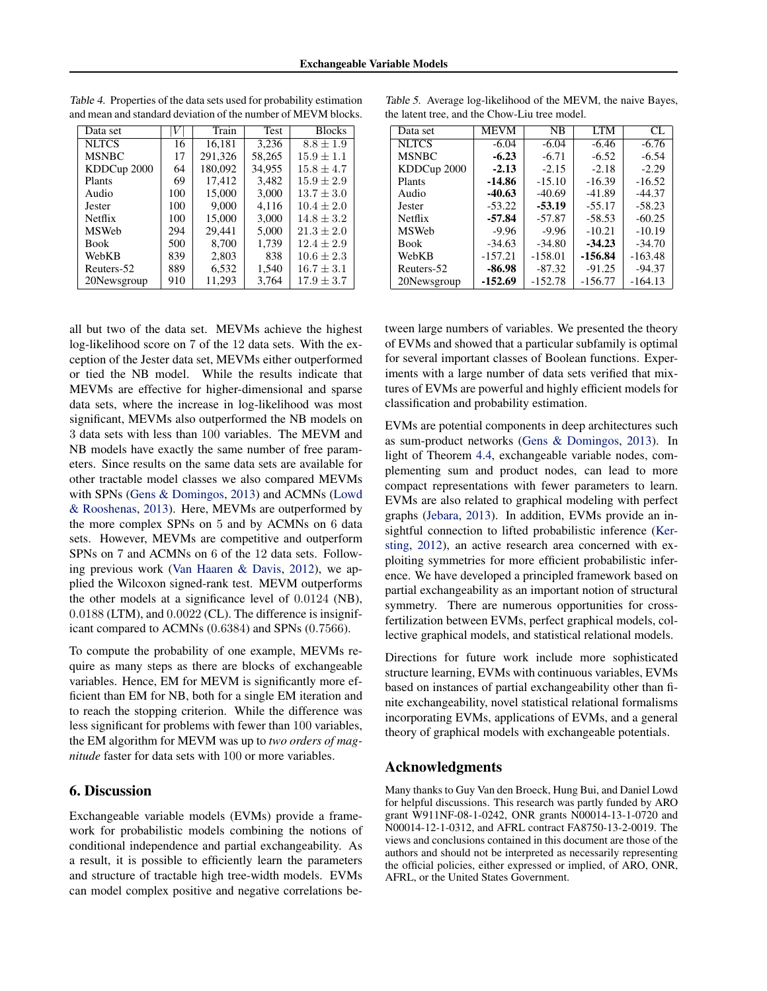| Data set      |     | Train   | Test   | <b>Blocks</b>  |
|---------------|-----|---------|--------|----------------|
| <b>NLTCS</b>  | 16  | 16.181  | 3,236  | $8.8 \pm 1.9$  |
| <b>MSNBC</b>  | 17  | 291,326 | 58,265 | $15.9 \pm 1.1$ |
| KDDCup 2000   | 64  | 180,092 | 34.955 | $15.8 \pm 4.7$ |
| Plants        | 69  | 17,412  | 3,482  | $15.9 \pm 2.9$ |
| Audio         | 100 | 15,000  | 3,000  | $13.7 \pm 3.0$ |
| <b>Jester</b> | 100 | 9.000   | 4,116  | $10.4 \pm 2.0$ |
| Netflix       | 100 | 15,000  | 3.000  | $14.8 \pm 3.2$ |
| <b>MSWeb</b>  | 294 | 29.441  | 5.000  | $21.3 \pm 2.0$ |
| <b>Book</b>   | 500 | 8,700   | 1.739  | $12.4 \pm 2.9$ |
| WebKB         | 839 | 2,803   | 838    | $10.6 \pm 2.3$ |
| Reuters-52    | 889 | 6,532   | 1,540  | $16.7 \pm 3.1$ |
| 20Newsgroup   | 910 | 11.293  | 3.764  | $17.9 \pm 3.7$ |

<span id="page-7-0"></span>Table 4. Properties of the data sets used for probability estimation and mean and standard deviation of the number of MEVM blocks.

all but two of the data set. MEVMs achieve the highest log-likelihood score on 7 of the 12 data sets. With the exception of the Jester data set, MEVMs either outperformed or tied the NB model. While the results indicate that MEVMs are effective for higher-dimensional and sparse data sets, where the increase in log-likelihood was most significant, MEVMs also outperformed the NB models on 3 data sets with less than 100 variables. The MEVM and NB models have exactly the same number of free parameters. Since results on the same data sets are available for other tractable model classes we also compared MEVMs with SPNs [\(Gens & Domingos,](#page-8-0) [2013\)](#page-8-0) and ACMNs [\(Lowd](#page-8-0) [& Rooshenas,](#page-8-0) [2013\)](#page-8-0). Here, MEVMs are outperformed by the more complex SPNs on 5 and by ACMNs on 6 data sets. However, MEVMs are competitive and outperform SPNs on 7 and ACMNs on 6 of the 12 data sets. Following previous work [\(Van Haaren & Davis,](#page-8-0) [2012\)](#page-8-0), we applied the Wilcoxon signed-rank test. MEVM outperforms the other models at a significance level of 0.0124 (NB), 0.0188 (LTM), and 0.0022 (CL). The difference is insignificant compared to ACMNs (0.6384) and SPNs (0.7566).

To compute the probability of one example, MEVMs require as many steps as there are blocks of exchangeable variables. Hence, EM for MEVM is significantly more efficient than EM for NB, both for a single EM iteration and to reach the stopping criterion. While the difference was less significant for problems with fewer than 100 variables, the EM algorithm for MEVM was up to *two orders of magnitude* faster for data sets with 100 or more variables.

## 6. Discussion

Exchangeable variable models (EVMs) provide a framework for probabilistic models combining the notions of conditional independence and partial exchangeability. As a result, it is possible to efficiently learn the parameters and structure of tractable high tree-width models. EVMs can model complex positive and negative correlations be-

Table 5. Average log-likelihood of the MEVM, the naive Bayes, the latent tree, and the Chow-Liu tree model.

| Data set     | <b>MEVM</b> | NB        | <b>LTM</b> | CL.       |
|--------------|-------------|-----------|------------|-----------|
| <b>NLTCS</b> | $-6.04$     | $-6.04$   | $-6.46$    | $-6.76$   |
| <b>MSNBC</b> | $-6.23$     | $-6.71$   | $-6.52$    | $-6.54$   |
| KDDCup 2000  | $-2.13$     | $-2.15$   | $-2.18$    | $-2.29$   |
| Plants       | $-14.86$    | $-15.10$  | $-16.39$   | $-16.52$  |
| Audio        | $-40.63$    | $-40.69$  | $-41.89$   | $-44.37$  |
| Jester       | $-53.22$    | $-53.19$  | $-55.17$   | $-58.23$  |
| Netflix      | $-57.84$    | $-57.87$  | $-58.53$   | $-60.25$  |
| <b>MSWeb</b> | $-9.96$     | $-9.96$   | $-10.21$   | $-10.19$  |
| <b>Book</b>  | $-34.63$    | $-34.80$  | $-34.23$   | $-34.70$  |
| WebKB        | $-157.21$   | $-158.01$ | $-156.84$  | $-163.48$ |
| Reuters-52   | $-86.98$    | $-87.32$  | $-91.25$   | $-94.37$  |
| 20Newsgroup  | $-152.69$   | $-152.78$ | $-156.77$  | $-164.13$ |

tween large numbers of variables. We presented the theory of EVMs and showed that a particular subfamily is optimal for several important classes of Boolean functions. Experiments with a large number of data sets verified that mixtures of EVMs are powerful and highly efficient models for classification and probability estimation.

EVMs are potential components in deep architectures such as sum-product networks [\(Gens & Domingos,](#page-8-0) [2013\)](#page-8-0). In light of Theorem [4.4,](#page-5-0) exchangeable variable nodes, complementing sum and product nodes, can lead to more compact representations with fewer parameters to learn. EVMs are also related to graphical modeling with perfect graphs [\(Jebara,](#page-8-0) [2013\)](#page-8-0). In addition, EVMs provide an insightful connection to lifted probabilistic inference [\(Ker](#page-8-0)[sting,](#page-8-0) [2012\)](#page-8-0), an active research area concerned with exploiting symmetries for more efficient probabilistic inference. We have developed a principled framework based on partial exchangeability as an important notion of structural symmetry. There are numerous opportunities for crossfertilization between EVMs, perfect graphical models, collective graphical models, and statistical relational models.

Directions for future work include more sophisticated structure learning, EVMs with continuous variables, EVMs based on instances of partial exchangeability other than finite exchangeability, novel statistical relational formalisms incorporating EVMs, applications of EVMs, and a general theory of graphical models with exchangeable potentials.

## Acknowledgments

Many thanks to Guy Van den Broeck, Hung Bui, and Daniel Lowd for helpful discussions. This research was partly funded by ARO grant W911NF-08-1-0242, ONR grants N00014-13-1-0720 and N00014-12-1-0312, and AFRL contract FA8750-13-2-0019. The views and conclusions contained in this document are those of the authors and should not be interpreted as necessarily representing the official policies, either expressed or implied, of ARO, ONR, AFRL, or the United States Government.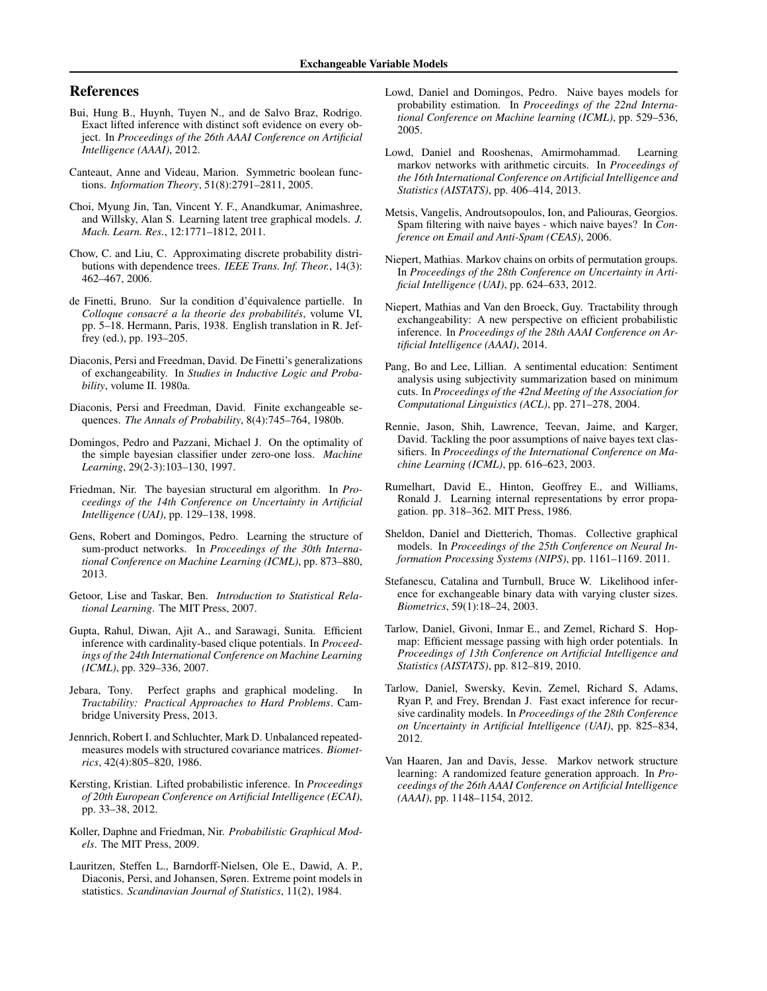### <span id="page-8-0"></span>References

- Bui, Hung B., Huynh, Tuyen N., and de Salvo Braz, Rodrigo. Exact lifted inference with distinct soft evidence on every object. In *Proceedings of the 26th AAAI Conference on Artificial Intelligence (AAAI)*, 2012.
- Canteaut, Anne and Videau, Marion. Symmetric boolean functions. *Information Theory*, 51(8):2791–2811, 2005.
- Choi, Myung Jin, Tan, Vincent Y. F., Anandkumar, Animashree, and Willsky, Alan S. Learning latent tree graphical models. *J. Mach. Learn. Res.*, 12:1771–1812, 2011.
- Chow, C. and Liu, C. Approximating discrete probability distributions with dependence trees. *IEEE Trans. Inf. Theor.*, 14(3): 462–467, 2006.
- de Finetti, Bruno. Sur la condition d'equivalence partielle. In ´ *Colloque consacré a la theorie des probabilités, volume VI,* pp. 5–18. Hermann, Paris, 1938. English translation in R. Jeffrey (ed.), pp. 193–205.
- Diaconis, Persi and Freedman, David. De Finetti's generalizations of exchangeability. In *Studies in Inductive Logic and Probability*, volume II. 1980a.
- Diaconis, Persi and Freedman, David. Finite exchangeable sequences. *The Annals of Probability*, 8(4):745–764, 1980b.
- Domingos, Pedro and Pazzani, Michael J. On the optimality of the simple bayesian classifier under zero-one loss. *Machine Learning*, 29(2-3):103–130, 1997.
- Friedman, Nir. The bayesian structural em algorithm. In *Proceedings of the 14th Conference on Uncertainty in Artificial Intelligence (UAI)*, pp. 129–138, 1998.
- Gens, Robert and Domingos, Pedro. Learning the structure of sum-product networks. In *Proceedings of the 30th International Conference on Machine Learning (ICML)*, pp. 873–880, 2013.
- Getoor, Lise and Taskar, Ben. *Introduction to Statistical Relational Learning*. The MIT Press, 2007.
- Gupta, Rahul, Diwan, Ajit A., and Sarawagi, Sunita. Efficient inference with cardinality-based clique potentials. In *Proceedings of the 24th International Conference on Machine Learning (ICML)*, pp. 329–336, 2007.
- Jebara, Tony. Perfect graphs and graphical modeling. In *Tractability: Practical Approaches to Hard Problems*. Cambridge University Press, 2013.
- Jennrich, Robert I. and Schluchter, Mark D. Unbalanced repeatedmeasures models with structured covariance matrices. *Biometrics*, 42(4):805–820, 1986.
- Kersting, Kristian. Lifted probabilistic inference. In *Proceedings of 20th European Conference on Artificial Intelligence (ECAI)*, pp. 33–38, 2012.
- Koller, Daphne and Friedman, Nir. *Probabilistic Graphical Models*. The MIT Press, 2009.
- Lauritzen, Steffen L., Barndorff-Nielsen, Ole E., Dawid, A. P., Diaconis, Persi, and Johansen, Søren. Extreme point models in statistics. *Scandinavian Journal of Statistics*, 11(2), 1984.
- Lowd, Daniel and Domingos, Pedro. Naive bayes models for probability estimation. In *Proceedings of the 22nd International Conference on Machine learning (ICML)*, pp. 529–536, 2005.
- Lowd, Daniel and Rooshenas, Amirmohammad. Learning markov networks with arithmetic circuits. In *Proceedings of the 16th International Conference on Artificial Intelligence and Statistics (AISTATS)*, pp. 406–414, 2013.
- Metsis, Vangelis, Androutsopoulos, Ion, and Paliouras, Georgios. Spam filtering with naive bayes - which naive bayes? In *Conference on Email and Anti-Spam (CEAS)*, 2006.
- Niepert, Mathias. Markov chains on orbits of permutation groups. In *Proceedings of the 28th Conference on Uncertainty in Artificial Intelligence (UAI)*, pp. 624–633, 2012.
- Niepert, Mathias and Van den Broeck, Guy. Tractability through exchangeability: A new perspective on efficient probabilistic inference. In *Proceedings of the 28th AAAI Conference on Artificial Intelligence (AAAI)*, 2014.
- Pang, Bo and Lee, Lillian. A sentimental education: Sentiment analysis using subjectivity summarization based on minimum cuts. In *Proceedings of the 42nd Meeting of the Association for Computational Linguistics (ACL)*, pp. 271–278, 2004.
- Rennie, Jason, Shih, Lawrence, Teevan, Jaime, and Karger, David. Tackling the poor assumptions of naive bayes text classifiers. In *Proceedings of the International Conference on Machine Learning (ICML)*, pp. 616–623, 2003.
- Rumelhart, David E., Hinton, Geoffrey E., and Williams, Ronald J. Learning internal representations by error propagation. pp. 318–362. MIT Press, 1986.
- Sheldon, Daniel and Dietterich, Thomas. Collective graphical models. In *Proceedings of the 25th Conference on Neural Information Processing Systems (NIPS)*, pp. 1161–1169. 2011.
- Stefanescu, Catalina and Turnbull, Bruce W. Likelihood inference for exchangeable binary data with varying cluster sizes. *Biometrics*, 59(1):18–24, 2003.
- Tarlow, Daniel, Givoni, Inmar E., and Zemel, Richard S. Hopmap: Efficient message passing with high order potentials. In *Proceedings of 13th Conference on Artificial Intelligence and Statistics (AISTATS)*, pp. 812–819, 2010.
- Tarlow, Daniel, Swersky, Kevin, Zemel, Richard S, Adams, Ryan P, and Frey, Brendan J. Fast exact inference for recursive cardinality models. In *Proceedings of the 28th Conference on Uncertainty in Artificial Intelligence (UAI)*, pp. 825–834, 2012.
- Van Haaren, Jan and Davis, Jesse. Markov network structure learning: A randomized feature generation approach. In *Proceedings of the 26th AAAI Conference on Artificial Intelligence (AAAI)*, pp. 1148–1154, 2012.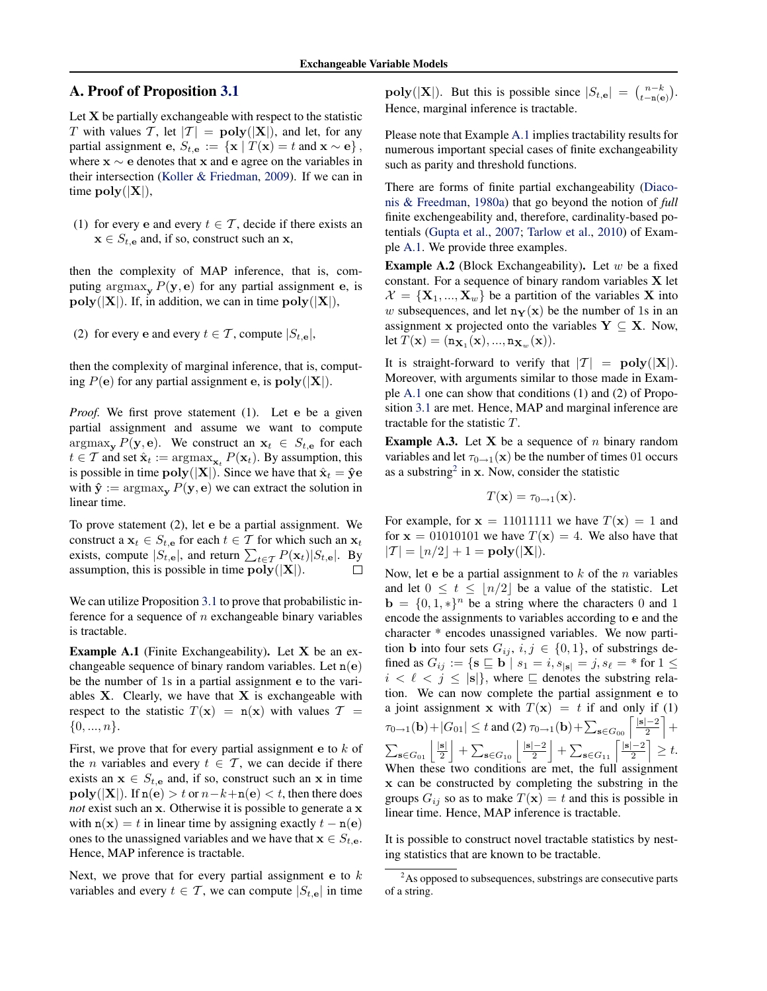### A. Proof of Proposition [3.1](#page-2-0)

Let  $X$  be partially exchangeable with respect to the statistic T with values T, let  $|T| = \text{poly}(|X|)$ , and let, for any partial assignment e,  $S_{t, \mathbf{e}} := \{ \mathbf{x} \mid T(\mathbf{x}) = t \text{ and } \mathbf{x} \sim \mathbf{e} \},$ where  $x \sim e$  denotes that x and e agree on the variables in their intersection [\(Koller & Friedman,](#page-8-0) [2009\)](#page-8-0). If we can in time  $\text{poly}(|\mathbf{X}|),$ 

(1) for every e and every  $t \in \mathcal{T}$ , decide if there exists an  $\mathbf{x} \in S_{t,\mathbf{e}}$  and, if so, construct such an  $\mathbf{x}$ ,

then the complexity of MAP inference, that is, computing argmax<sub>y</sub>  $P(y, e)$  for any partial assignment e, is  $poly(|X|)$ . If, in addition, we can in time  $poly(|X|)$ ,

(2) for every e and every  $t \in \mathcal{T}$ , compute  $|S_{t,\mathbf{e}}|$ ,

then the complexity of marginal inference, that is, computing  $P(e)$  for any partial assignment e, is  $\text{poly}(|X|)$ .

*Proof.* We first prove statement (1). Let e be a given partial assignment and assume we want to compute  $argmax_{\mathbf{v}} P(\mathbf{y}, \mathbf{e})$ . We construct an  $\mathbf{x}_t \in S_{t, \mathbf{e}}$  for each  $t \in \mathcal{T}$  and set  $\hat{\mathbf{x}}_t := \operatorname{argmax}_{\mathbf{x}_t} P(\mathbf{x}_t)$ . By assumption, this is possible in time  $\text{poly}(|X|)$ . Since we have that  $\hat{\mathbf{x}}_t = \hat{\mathbf{y}}\mathbf{e}$ with  $\hat{\mathbf{y}} := \argmax_{\mathbf{v}} P(\mathbf{y}, \mathbf{e})$  we can extract the solution in linear time.

To prove statement (2), let e be a partial assignment. We construct a  $x_t \in S_{t,\mathbf{e}}$  for each  $t \in \mathcal{T}$  for which such an  $x_t$ exists, compute  $|S_{t, e}|$ , and return  $\sum_{t \in \mathcal{T}} P(\mathbf{x}_t) | S_{t, e}|$ . By assumption, this is possible in time  $\text{poly}(|X|)$ . П

We can utilize Proposition [3.1](#page-2-0) to prove that probabilistic inference for a sequence of  $n$  exchangeable binary variables is tractable.

Example A.1 (Finite Exchangeability). Let X be an exchangeable sequence of binary random variables. Let  $n(e)$ be the number of 1s in a partial assignment e to the variables  $X$ . Clearly, we have that  $X$  is exchangeable with respect to the statistic  $T(\mathbf{x}) = \mathbf{n}(\mathbf{x})$  with values  $T =$  $\{0, ..., n\}.$ 

First, we prove that for every partial assignment  $e$  to  $k$  of the *n* variables and every  $t \in \mathcal{T}$ , we can decide if there exists an  $x \in S_{t,\mathbf{e}}$  and, if so, construct such an x in time  $\text{poly}(|X|)$ . If  $n(e) > t$  or  $n-k+n(e) < t$ , then there does *not* exist such an x. Otherwise it is possible to generate a x with  $n(x) = t$  in linear time by assigning exactly  $t - n(e)$ ones to the unassigned variables and we have that  $\mathbf{x} \in S_{t, \mathbf{e}}$ . Hence, MAP inference is tractable.

Next, we prove that for every partial assignment  $e$  to  $k$ variables and every  $t \in \mathcal{T}$ , we can compute  $|S_{t,\mathbf{e}}|$  in time

 $\text{poly}(|\mathbf{X}|)$ . But this is possible since  $|S_{t,\mathbf{e}}| = {n-k \choose t-\mathbf{n}(\mathbf{e})}$ . Hence, marginal inference is tractable.

Please note that Example A.1 implies tractability results for numerous important special cases of finite exchangeability such as parity and threshold functions.

There are forms of finite partial exchangeability [\(Diaco](#page-8-0)[nis & Freedman,](#page-8-0) [1980a\)](#page-8-0) that go beyond the notion of *full* finite exchengeability and, therefore, cardinality-based potentials [\(Gupta et al.,](#page-8-0) [2007;](#page-8-0) [Tarlow et al.,](#page-8-0) [2010\)](#page-8-0) of Example A.1. We provide three examples.

**Example A.2** (Block Exchangeability). Let  $w$  be a fixed constant. For a sequence of binary random variables X let  $\mathcal{X} = {\mathbf{X}_1, ..., \mathbf{X}_w}$  be a partition of the variables **X** into w subsequences, and let  $n_Y(x)$  be the number of 1s in an assignment x projected onto the variables  $Y \subseteq X$ . Now, let  $T(\mathbf{x}) = (\mathbf{n}_{\mathbf{X}_1}(\mathbf{x}), ..., \mathbf{n}_{\mathbf{X}_w}(\mathbf{x})).$ 

It is straight-forward to verify that  $|T| = \text{poly}(|X|)$ . Moreover, with arguments similar to those made in Example A.1 one can show that conditions (1) and (2) of Proposition [3.1](#page-2-0) are met. Hence, MAP and marginal inference are tractable for the statistic T.

**Example A.3.** Let **X** be a sequence of n binary random variables and let  $\tau_{0\to 1}(\mathbf{x})$  be the number of times 01 occurs as a substring<sup>2</sup> in  $x$ . Now, consider the statistic

$$
T(\mathbf{x}) = \tau_{0 \to 1}(\mathbf{x}).
$$

For example, for  $x = 11011111$  we have  $T(x) = 1$  and for  $x = 01010101$  we have  $T(x) = 4$ . We also have that  $|T| = |n/2| + 1 = \text{poly}(|X|).$ 

Now, let e be a partial assignment to  $k$  of the  $n$  variables and let  $0 \le t \le |n/2|$  be a value of the statistic. Let  $\mathbf{b} = \{0, 1, \ast\}^n$  be a string where the characters 0 and 1 encode the assignments to variables according to e and the character \* encodes unassigned variables. We now partition **b** into four sets  $G_{ij}$ ,  $i, j \in \{0, 1\}$ , of substrings defined as  $G_{ij} := \{ \mathbf{s} \sqsubseteq \mathbf{b} \mid s_1 = i, s_{|\mathbf{s}|} = j, s_\ell = * \text{ for } 1 \leq$  $i < \ell < j \leq |s|\}$ , where  $\sqsubseteq$  denotes the substring relation. We can now complete the partial assignment e to a joint assignment x with  $T(x) = t$  if and only if (1)  $\tau_{0\to1}(\mathbf{b})+|G_{01}|\leq t$  and (2)  $\tau_{0\to1}(\mathbf{b})+\sum_{\mathbf{s}\in G_{00}}\left\lceil \frac{|\mathbf{s}|-2}{2}\right\rceil$  $\frac{|-2|}{2}$  +  $\sum_{\mathbf{s}\in G_{01}}\left|\frac{|\mathbf{s}|}{2}\right|$  $\frac{|\mathbf{s}|}{2}$  +  $\sum_{\mathbf{s}\in G_{10}}$   $\frac{|\mathbf{s}|-2}{2}$  $\left\lfloor\frac{-2}{2}\right\rfloor+\sum_{{\mathbf s}\in G_{11}}\left\lceil\frac{|{\mathbf s}|-2}{2}\right\rceil$  $\left\lfloor \frac{-2}{2} \right\rfloor \geq t.$ When these two conditions are met, the full assignment x can be constructed by completing the substring in the groups  $G_{ij}$  so as to make  $T(\mathbf{x}) = t$  and this is possible in linear time. Hence, MAP inference is tractable.

It is possible to construct novel tractable statistics by nesting statistics that are known to be tractable.

<sup>&</sup>lt;sup>2</sup>As opposed to subsequences, substrings are consecutive parts of a string.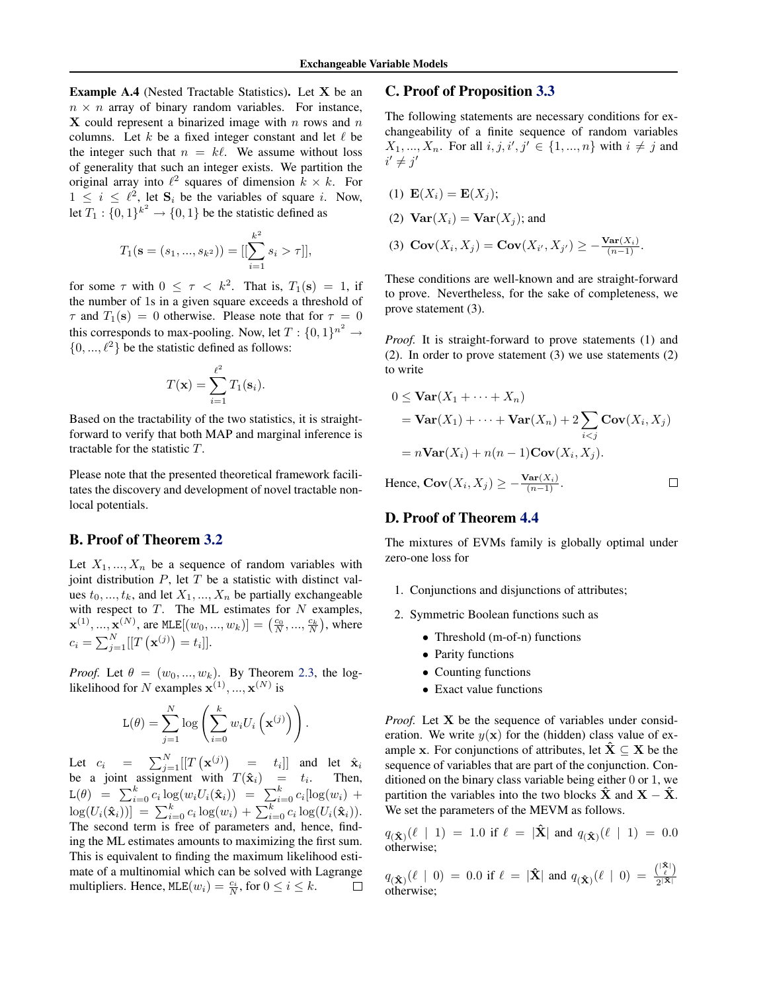Example A.4 (Nested Tractable Statistics). Let X be an  $n \times n$  array of binary random variables. For instance,  $X$  could represent a binarized image with n rows and  $n$ columns. Let k be a fixed integer constant and let  $\ell$  be the integer such that  $n = k\ell$ . We assume without loss of generality that such an integer exists. We partition the original array into  $\ell^2$  squares of dimension  $k \times k$ . For  $1 \leq i \leq \ell^2$ , let  $S_i$  be the variables of square *i*. Now, let  $T_1: \{0,1\}^{k^2} \to \{0,1\}$  be the statistic defined as

$$
T_1(\mathbf{s} = (s_1, ..., s_{k^2})) = [[\sum_{i=1}^{k^2} s_i > \tau]],
$$

for some  $\tau$  with  $0 \leq \tau \leq k^2$ . That is,  $T_1(\mathbf{s}) = 1$ , if the number of 1s in a given square exceeds a threshold of  $\tau$  and  $T_1(\mathbf{s}) = 0$  otherwise. Please note that for  $\tau = 0$ this corresponds to max-pooling. Now, let  $T: \{0,1\}^{n^2} \to$  $\{0, ..., \ell^2\}$  be the statistic defined as follows:

$$
T(\mathbf{x}) = \sum_{i=1}^{\ell^2} T_1(\mathbf{s}_i).
$$

Based on the tractability of the two statistics, it is straightforward to verify that both MAP and marginal inference is tractable for the statistic T.

Please note that the presented theoretical framework facilitates the discovery and development of novel tractable nonlocal potentials.

## B. Proof of Theorem [3.2](#page-2-0)

Let  $X_1, ..., X_n$  be a sequence of random variables with joint distribution  $P$ , let  $T$  be a statistic with distinct values  $t_0, ..., t_k$ , and let  $X_1, ..., X_n$  be partially exchangeable with respect to  $T$ . The ML estimates for  $N$  examples,  $\mathbf{x}^{(1)}, ..., \mathbf{x}^{(N)}$ , are MLE $[(w_0, ..., w_k)] = (\frac{c_0}{N}, ..., \frac{c_k}{N})$ , where  $c_i = \sum_{j=1}^{N} [[T(\mathbf{x}^{(j)}) = t_i]].$ 

*Proof.* Let  $\theta = (w_0, ..., w_k)$ . By Theorem [2.3,](#page-1-0) the loglikelihood for N examples  $\mathbf{x}^{(1)},...,\mathbf{x}^{(N)}$  is

$$
L(\theta) = \sum_{j=1}^{N} \log \left( \sum_{i=0}^{k} w_i U_i \left( \mathbf{x}^{(j)} \right) \right).
$$

Let  $c_i = \sum_{j=1}^{N} [[T(\mathbf{x}^{(j)}) = t_i]]$  and let  $\hat{\mathbf{x}}_i$ be a joint assignment with  $T(\hat{\mathbf{x}}_i) = t_i$ . Then,  $\mathsf{L}(\theta) = \sum_{i=0}^{k} c_i \log(w_i U_i(\hat{\mathbf{x}}_i)) = \sum_{i=0}^{k} c_i [\log(w_i) +$  $\log(U_i(\mathbf{\hat{x}}_i))] = \sum_{i=0}^{k} c_i \log(w_i) + \sum_{i=0}^{k} c_i \log(U_i(\mathbf{\hat{x}}_i)).$ The second term is free of parameters and, hence, finding the ML estimates amounts to maximizing the first sum. This is equivalent to finding the maximum likelihood estimate of a multinomial which can be solved with Lagrange multipliers. Hence,  $MLE(w_i) = \frac{c_i}{N}$ , for  $0 \le i \le k$ .  $\Box$ 

### C. Proof of Proposition [3.3](#page-3-0)

The following statements are necessary conditions for exchangeability of a finite sequence of random variables  $X_1, ..., X_n$ . For all  $i, j, i', j' \in \{1, ..., n\}$  with  $i \neq j$  and  $i' \neq j'$ 

$$
(1) \mathbf{E}(X_i) = \mathbf{E}(X_j);
$$

- (2)  $\text{Var}(X_i) = \text{Var}(X_i)$ ; and
- (3)  $Cov(X_i, X_j) = Cov(X_{i'}, X_{j'}) \geq -\frac{Var(X_i)}{(n-1)}$ .

These conditions are well-known and are straight-forward to prove. Nevertheless, for the sake of completeness, we prove statement (3).

*Proof.* It is straight-forward to prove statements (1) and (2). In order to prove statement (3) we use statements (2) to write

$$
0 \le \text{Var}(X_1 + \dots + X_n)
$$
  
=  $\text{Var}(X_1) + \dots + \text{Var}(X_n) + 2 \sum_{i < j} \text{Cov}(X_i, X_j)$   
=  $n \text{Var}(X_i) + n(n-1) \text{Cov}(X_i, X_j).$   
Hence,  $\text{Cov}(X_i, X_j) \ge -\frac{\text{Var}(X_i)}{(n-1)!}.$ 

Hence,  $Cov(X_i, X_j) \geq -\frac{Var(X_i)}{(n-1)}$ .

### D. Proof of Theorem [4.4](#page-5-0)

The mixtures of EVMs family is globally optimal under zero-one loss for

- 1. Conjunctions and disjunctions of attributes;
- 2. Symmetric Boolean functions such as
	- Threshold (m-of-n) functions
	- Parity functions
	- Counting functions
	- Exact value functions

*Proof.* Let **X** be the sequence of variables under consideration. We write  $y(x)$  for the (hidden) class value of example x. For conjunctions of attributes, let  $\hat{X} \subseteq X$  be the sequence of variables that are part of the conjunction. Conditioned on the binary class variable being either 0 or 1, we partition the variables into the two blocks  $X$  and  $X - X$ . We set the parameters of the MEVM as follows.

 $q_{(\hat{\mathbf{X}})}(\ell \mid 1) = 1.0$  if  $\ell = |\hat{\mathbf{X}}|$  and  $q_{(\hat{\mathbf{X}})}(\ell \mid 1) = 0.0$ otherwise;

 $q(\hat{\mathbf{x}})$  $(\ell \mid 0) = 0.0$  if  $\ell = |\hat{\mathbf{X}}|$  and  $q(\hat{\mathbf{x}})$  $(\ell \mid 0) = \frac{{\binom{|\hat{\mathbf{x}}|}{\ell}}}{2^{|\hat{\mathbf{X}}|}}$  $q(\mathbf{\hat{x}})^{(k+1)} = 0.0$  if  $k = |\mathbf{x}|$  and  $q(\mathbf{\hat{x}})^{(k+1)} = \frac{1}{2^{|\mathbf{\hat{x}}|}}$ <br>otherwise;